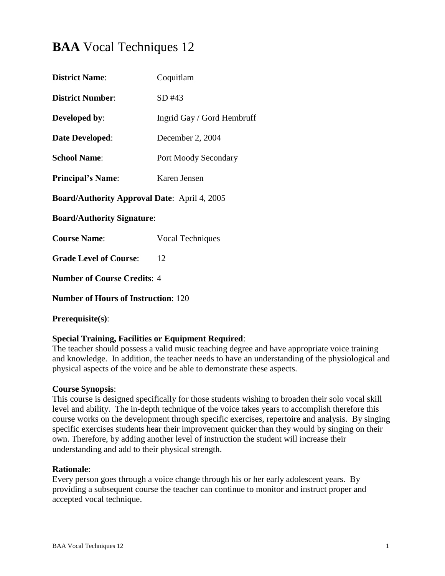# **BAA** Vocal Techniques 12

| <b>District Name:</b>                               | Coquitlam                   |  |
|-----------------------------------------------------|-----------------------------|--|
| <b>District Number:</b>                             | SD#43                       |  |
| <b>Developed by:</b>                                | Ingrid Gay / Gord Hembruff  |  |
| <b>Date Developed:</b>                              | December 2, 2004            |  |
| <b>School Name:</b>                                 | <b>Port Moody Secondary</b> |  |
| <b>Principal's Name:</b>                            | Karen Jensen                |  |
| <b>Board/Authority Approval Date: April 4, 2005</b> |                             |  |
| <b>Board/Authority Signature:</b>                   |                             |  |
| <b>Course Name:</b>                                 | <b>Vocal Techniques</b>     |  |
| <b>Grade Level of Course:</b>                       | 12                          |  |
| <b>Number of Course Credits: 4</b>                  |                             |  |
| <b>Number of Hours of Instruction: 120</b>          |                             |  |
|                                                     |                             |  |

### **Prerequisite(s)**:

### **Special Training, Facilities or Equipment Required**:

The teacher should possess a valid music teaching degree and have appropriate voice training and knowledge. In addition, the teacher needs to have an understanding of the physiological and physical aspects of the voice and be able to demonstrate these aspects.

### **Course Synopsis**:

This course is designed specifically for those students wishing to broaden their solo vocal skill level and ability. The in-depth technique of the voice takes years to accomplish therefore this course works on the development through specific exercises, repertoire and analysis. By singing specific exercises students hear their improvement quicker than they would by singing on their own. Therefore, by adding another level of instruction the student will increase their understanding and add to their physical strength.

### **Rationale**:

Every person goes through a voice change through his or her early adolescent years. By providing a subsequent course the teacher can continue to monitor and instruct proper and accepted vocal technique.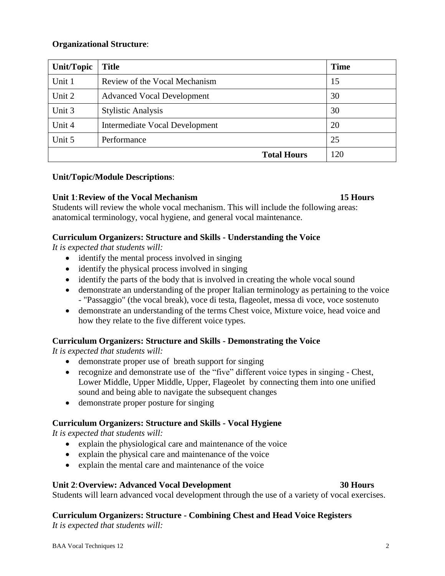### **Organizational Structure**:

| Unit/Topic | <b>Title</b>                      | <b>Time</b> |
|------------|-----------------------------------|-------------|
| Unit 1     | Review of the Vocal Mechanism     | 15          |
| Unit 2     | <b>Advanced Vocal Development</b> | 30          |
| Unit 3     | <b>Stylistic Analysis</b>         | 30          |
| Unit 4     | Intermediate Vocal Development    | 20          |
| Unit 5     | Performance                       | 25          |
|            | <b>Total Hours</b>                | 120         |

### **Unit/Topic/Module Descriptions**:

### **Unit 1**:**Review of the Vocal Mechanism 15 Hours**

Students will review the whole vocal mechanism. This will include the following areas: anatomical terminology, vocal hygiene, and general vocal maintenance.

### **Curriculum Organizers: Structure and Skills - Understanding the Voice**

*It is expected that students will:*

- identify the mental process involved in singing
- identify the physical process involved in singing
- identify the parts of the body that is involved in creating the whole vocal sound
- demonstrate an understanding of the proper Italian terminology as pertaining to the voice - "Passaggio" (the vocal break), voce di testa, flageolet, messa di voce, voce sostenuto
- demonstrate an understanding of the terms Chest voice, Mixture voice, head voice and how they relate to the five different voice types.

### **Curriculum Organizers: Structure and Skills - Demonstrating the Voice**

*It is expected that students will:*

- demonstrate proper use of breath support for singing
- recognize and demonstrate use of the "five" different voice types in singing Chest, Lower Middle, Upper Middle, Upper, Flageolet by connecting them into one unified sound and being able to navigate the subsequent changes
- demonstrate proper posture for singing

### **Curriculum Organizers: Structure and Skills - Vocal Hygiene**

*It is expected that students will:*

- explain the physiological care and maintenance of the voice
- explain the physical care and maintenance of the voice
- explain the mental care and maintenance of the voice

### **Unit 2**:**Overview: Advanced Vocal Development 30 Hours**

Students will learn advanced vocal development through the use of a variety of vocal exercises.

# **Curriculum Organizers: Structure - Combining Chest and Head Voice Registers**

*It is expected that students will:*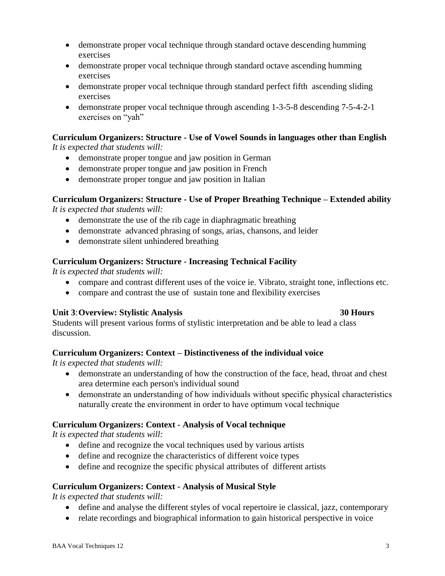- demonstrate proper vocal technique through standard octave descending humming exercises
- demonstrate proper vocal technique through standard octave ascending humming exercises
- demonstrate proper vocal technique through standard perfect fifth ascending sliding exercises
- demonstrate proper vocal technique through ascending 1-3-5-8 descending 7-5-4-2-1 exercises on "yah"

### **Curriculum Organizers: Structure - Use of Vowel Sounds in languages other than English** *It is expected that students will:*

- demonstrate proper tongue and jaw position in German
- demonstrate proper tongue and jaw position in French
- demonstrate proper tongue and jaw position in Italian

# **Curriculum Organizers: Structure - Use of Proper Breathing Technique – Extended ability**

*It is expected that students will:*

- demonstrate the use of the rib cage in diaphragmatic breathing
- demonstrate advanced phrasing of songs, arias, chansons, and leider
- demonstrate silent unhindered breathing

## **Curriculum Organizers: Structure - Increasing Technical Facility**

*It is expected that students will:*

- compare and contrast different uses of the voice ie. Vibrato, straight tone, inflections etc.
- compare and contrast the use of sustain tone and flexibility exercises

# **Unit 3**:**Overview: Stylistic Analysis 30 Hours**

Students will present various forms of stylistic interpretation and be able to lead a class discussion.

# **Curriculum Organizers: Context – Distinctiveness of the individual voice**

*It is expected that students will:*

- demonstrate an understanding of how the construction of the face, head, throat and chest area determine each person's individual sound
- demonstrate an understanding of how individuals without specific physical characteristics naturally create the environment in order to have optimum vocal technique

# **Curriculum Organizers: Context - Analysis of Vocal technique**

*It is expected that students will:*

- define and recognize the vocal techniques used by various artists
- define and recognize the characteristics of different voice types
- define and recognize the specific physical attributes of different artists

### **Curriculum Organizers: Context - Analysis of Musical Style**

*It is expected that students will:*

- define and analyse the different styles of vocal repertoire ie classical, jazz, contemporary
- relate recordings and biographical information to gain historical perspective in voice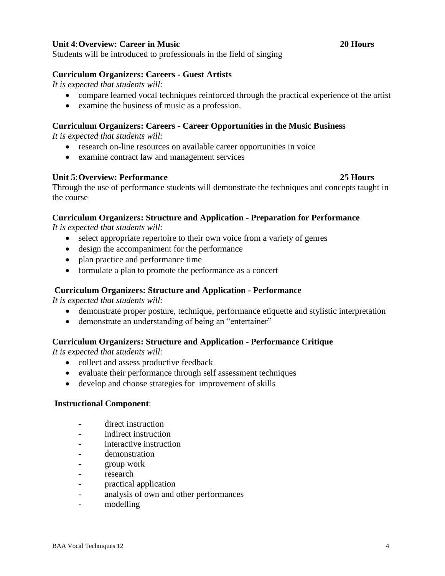### **Unit 4**:**Overview: Career in Music 20 Hours**

Students will be introduced to professionals in the field of singing

### **Curriculum Organizers: Careers - Guest Artists**

*It is expected that students will:*

- compare learned vocal techniques reinforced through the practical experience of the artist
- examine the business of music as a profession.

### **Curriculum Organizers: Careers - Career Opportunities in the Music Business**

*It is expected that students will:*

- research on-line resources on available career opportunities in voice
- examine contract law and management services

### **Unit 5**:**Overview: Performance 25 Hours**

Through the use of performance students will demonstrate the techniques and concepts taught in the course

### **Curriculum Organizers: Structure and Application - Preparation for Performance**

*It is expected that students will:*

- select appropriate repertoire to their own voice from a variety of genres
- design the accompaniment for the performance
- plan practice and performance time
- formulate a plan to promote the performance as a concert

### **Curriculum Organizers: Structure and Application - Performance**

*It is expected that students will:*

- demonstrate proper posture, technique, performance etiquette and stylistic interpretation
- demonstrate an understanding of being an "entertainer"

### **Curriculum Organizers: Structure and Application - Performance Critique**

*It is expected that students will:*

- collect and assess productive feedback
- evaluate their performance through self assessment techniques
- develop and choose strategies for improvement of skills

### **Instructional Component**:

- direct instruction
- indirect instruction
- interactive instruction
- demonstration
- group work
- research
- practical application
- analysis of own and other performances
- modelling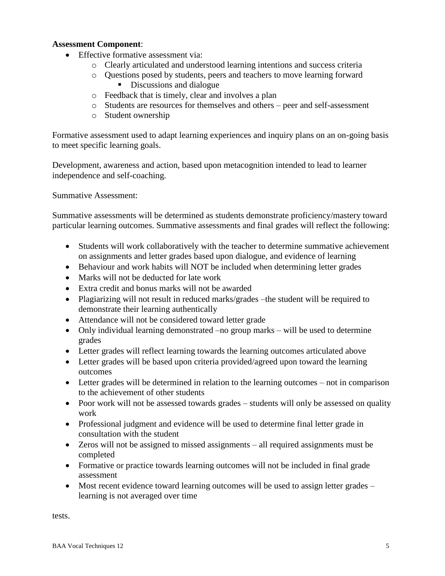### **Assessment Component**:

- Effective formative assessment via:
	- o Clearly articulated and understood learning intentions and success criteria
	- o Questions posed by students, peers and teachers to move learning forward
		- Discussions and dialogue
	- o Feedback that is timely, clear and involves a plan
	- o Students are resources for themselves and others peer and self-assessment
	- o Student ownership

Formative assessment used to adapt learning experiences and inquiry plans on an on-going basis to meet specific learning goals.

Development, awareness and action, based upon metacognition intended to lead to learner independence and self-coaching.

Summative Assessment:

Summative assessments will be determined as students demonstrate proficiency/mastery toward particular learning outcomes. Summative assessments and final grades will reflect the following:

- Students will work collaboratively with the teacher to determine summative achievement on assignments and letter grades based upon dialogue, and evidence of learning
- Behaviour and work habits will NOT be included when determining letter grades
- Marks will not be deducted for late work
- Extra credit and bonus marks will not be awarded
- Plagiarizing will not result in reduced marks/grades –the student will be required to demonstrate their learning authentically
- Attendance will not be considered toward letter grade
- Only individual learning demonstrated –no group marks will be used to determine grades
- Letter grades will reflect learning towards the learning outcomes articulated above
- Letter grades will be based upon criteria provided/agreed upon toward the learning outcomes
- Letter grades will be determined in relation to the learning outcomes not in comparison to the achievement of other students
- Poor work will not be assessed towards grades students will only be assessed on quality work
- Professional judgment and evidence will be used to determine final letter grade in consultation with the student
- Zeros will not be assigned to missed assignments all required assignments must be completed
- Formative or practice towards learning outcomes will not be included in final grade assessment
- Most recent evidence toward learning outcomes will be used to assign letter grades learning is not averaged over time

tests.